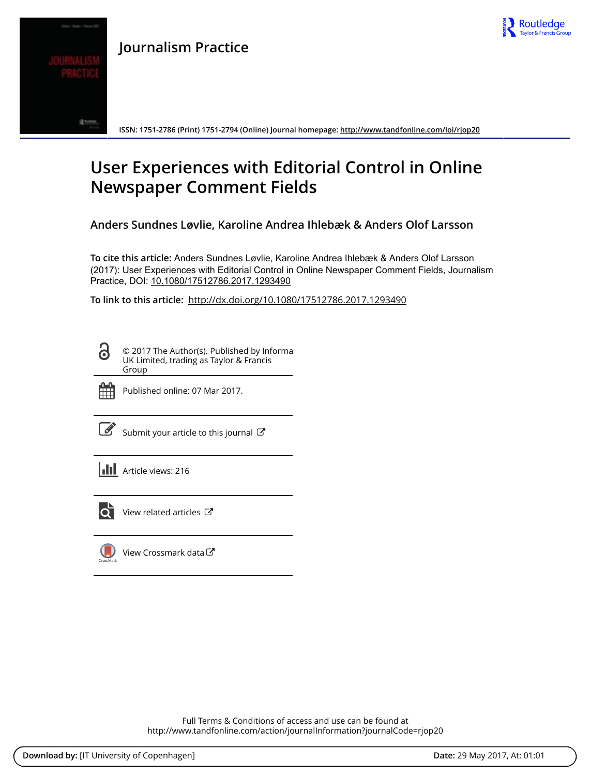

## **Journalism Practice**



**ISSN: 1751-2786 (Print) 1751-2794 (Online) Journal homepage:<http://www.tandfonline.com/loi/rjop20>**

# **User Experiences with Editorial Control in Online Newspaper Comment Fields**

**Anders Sundnes Løvlie, Karoline Andrea Ihlebæk & Anders Olof Larsson**

**To cite this article:** Anders Sundnes Løvlie, Karoline Andrea Ihlebæk & Anders Olof Larsson (2017): User Experiences with Editorial Control in Online Newspaper Comment Fields, Journalism Practice, DOI: [10.1080/17512786.2017.1293490](http://www.tandfonline.com/action/showCitFormats?doi=10.1080/17512786.2017.1293490)

**To link to this article:** <http://dx.doi.org/10.1080/17512786.2017.1293490>

© 2017 The Author(s). Published by Informa UK Limited, trading as Taylor & Francis Group



<u>යි</u>

Published online: 07 Mar 2017.

[Submit your article to this journal](http://www.tandfonline.com/action/authorSubmission?journalCode=rjop20&show=instructions)  $\mathbb{Z}$ 

**III** Article views: 216



[View related articles](http://www.tandfonline.com/doi/mlt/10.1080/17512786.2017.1293490)  $\mathbb{Z}$ 

[View Crossmark data](http://crossmark.crossref.org/dialog/?doi=10.1080/17512786.2017.1293490&domain=pdf&date_stamp=2017-03-07)

Full Terms & Conditions of access and use can be found at <http://www.tandfonline.com/action/journalInformation?journalCode=rjop20>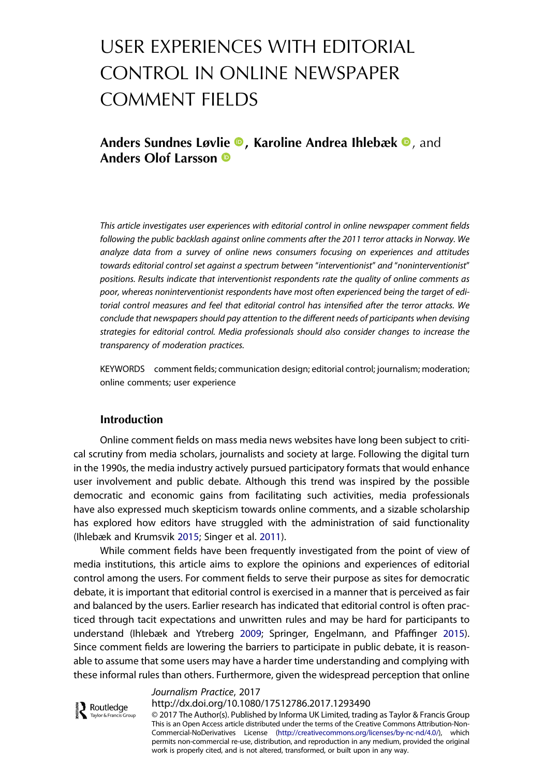## <span id="page-1-0"></span>USER EXPERIENCES WITH EDITORIAL CONTROL IN ONLINE NEWSPAPER COMMENT FIELDS

## Anders Sundnes Løvlie <sup>®</sup>, Karoline Andrea Ihlebæk <sup>®</sup>, and Anders Olof Larsson

This article investigates user experiences with editorial control in online newspaper comment fields following the public backlash against online comments after the 2011 terror attacks in Norway. We analyze data from a survey of online news consumers focusing on experiences and attitudes towards editorial control set against a spectrum between "interventionist" and "noninterventionist" positions. Results indicate that interventionist respondents rate the quality of online comments as poor, whereas noninterventionist respondents have most often experienced being the target of editorial control measures and feel that editorial control has intensified after the terror attacks. We conclude that newspapers should pay attention to the different needs of participants when devising strategies for editorial control. Media professionals should also consider changes to increase the transparency of moderation practices.

KEYWORDS comment fields; communication design; editorial control; journalism; moderation; online comments; user experience

#### Introduction

Online comment fields on mass media news websites have long been subject to critical scrutiny from media scholars, journalists and society at large. Following the digital turn in the 1990s, the media industry actively pursued participatory formats that would enhance user involvement and public debate. Although this trend was inspired by the possible democratic and economic gains from facilitating such activities, media professionals have also expressed much skepticism towards online comments, and a sizable scholarship has explored how editors have struggled with the administration of said functionality (Ihlebæk and Krumsvik [2015](#page-18-0); Singer et al. [2011\)](#page-19-0).

While comment fields have been frequently investigated from the point of view of media institutions, this article aims to explore the opinions and experiences of editorial control among the users. For comment fields to serve their purpose as sites for democratic debate, it is important that editorial control is exercised in a manner that is perceived as fair and balanced by the users. Earlier research has indicated that editorial control is often practiced through tacit expectations and unwritten rules and may be hard for participants to understand (Ihlebæk and Ytreberg [2009;](#page-18-0) Springer, Engelmann, and Pfaffinger [2015\)](#page-19-0). Since comment fields are lowering the barriers to participate in public debate, it is reasonable to assume that some users may have a harder time understanding and complying with these informal rules than others. Furthermore, given the widespread perception that online

#### Journalism Practice, 2017 http://dx.doi.org/10.1080/17512786.2017.1293490



© 2017 The Author(s). Published by Informa UK Limited, trading as Taylor & Francis Group This is an Open Access article distributed under the terms of the Creative Commons Attribution-Non-Commercial-NoDerivatives License (<http://creativecommons.org/licenses/by-nc-nd/4.0/>), which permits non-commercial re-use, distribution, and reproduction in any medium, provided the original work is properly cited, and is not altered, transformed, or built upon in any way.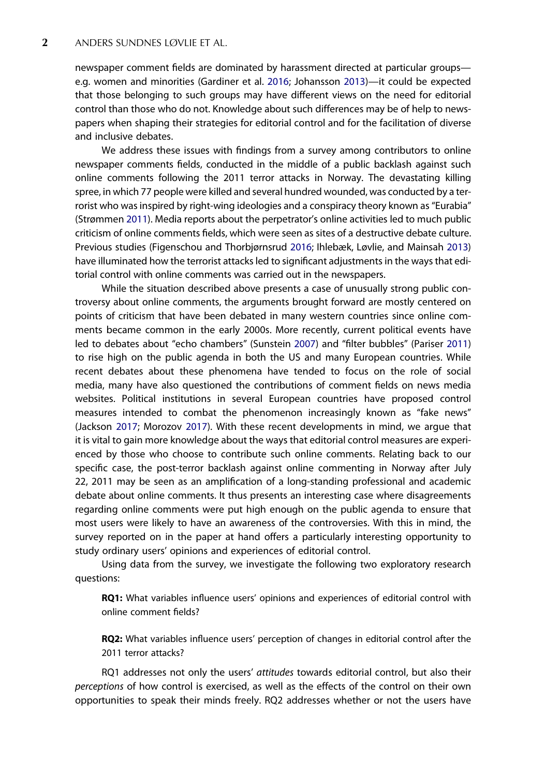<span id="page-2-0"></span>newspaper comment fields are dominated by harassment directed at particular groups e.g. women and minorities (Gardiner et al. [2016;](#page-17-0) Johansson [2013\)](#page-18-0)—it could be expected that those belonging to such groups may have different views on the need for editorial control than those who do not. Knowledge about such differences may be of help to newspapers when shaping their strategies for editorial control and for the facilitation of diverse and inclusive debates.

We address these issues with findings from a survey among contributors to online newspaper comments fields, conducted in the middle of a public backlash against such online comments following the 2011 terror attacks in Norway. The devastating killing spree, in which 77 people were killed and several hundred wounded, was conducted by a terrorist who was inspired by right-wing ideologies and a conspiracy theory known as "Eurabia" (Strømmen [2011\)](#page-20-0). Media reports about the perpetrator's online activities led to much public criticism of online comments fields, which were seen as sites of a destructive debate culture. Previous studies (Figenschou and Thorbjørnsrud [2016](#page-17-0); Ihlebæk, Løvlie, and Mainsah [2013\)](#page-18-0) have illuminated how the terrorist attacks led to significant adjustments in the ways that editorial control with online comments was carried out in the newspapers.

While the situation described above presents a case of unusually strong public controversy about online comments, the arguments brought forward are mostly centered on points of criticism that have been debated in many western countries since online comments became common in the early 2000s. More recently, current political events have led to debates about "echo chambers" (Sunstein [2007\)](#page-20-0) and "filter bubbles" (Pariser [2011\)](#page-19-0) to rise high on the public agenda in both the US and many European countries. While recent debates about these phenomena have tended to focus on the role of social media, many have also questioned the contributions of comment fields on news media websites. Political institutions in several European countries have proposed control measures intended to combat the phenomenon increasingly known as "fake news" (Jackson [2017;](#page-18-0) Morozov [2017\)](#page-19-0). With these recent developments in mind, we argue that it is vital to gain more knowledge about the ways that editorial control measures are experienced by those who choose to contribute such online comments. Relating back to our specific case, the post-terror backlash against online commenting in Norway after July 22, 2011 may be seen as an amplification of a long-standing professional and academic debate about online comments. It thus presents an interesting case where disagreements regarding online comments were put high enough on the public agenda to ensure that most users were likely to have an awareness of the controversies. With this in mind, the survey reported on in the paper at hand offers a particularly interesting opportunity to study ordinary users' opinions and experiences of editorial control.

Using data from the survey, we investigate the following two exploratory research questions:

RQ1: What variables influence users' opinions and experiences of editorial control with online comment fields?

RQ2: What variables influence users' perception of changes in editorial control after the 2011 terror attacks?

RQ1 addresses not only the users' attitudes towards editorial control, but also their perceptions of how control is exercised, as well as the effects of the control on their own opportunities to speak their minds freely. RQ2 addresses whether or not the users have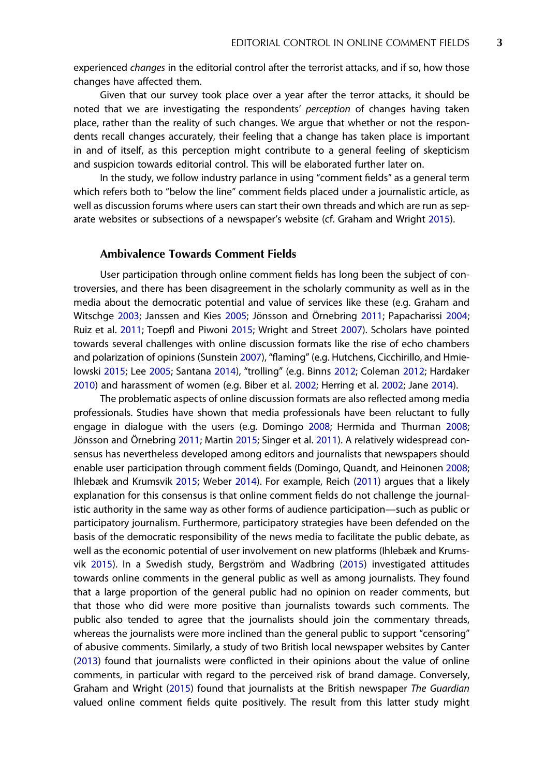<span id="page-3-0"></span>experienced changes in the editorial control after the terrorist attacks, and if so, how those changes have affected them.

Given that our survey took place over a year after the terror attacks, it should be noted that we are investigating the respondents' perception of changes having taken place, rather than the reality of such changes. We argue that whether or not the respondents recall changes accurately, their feeling that a change has taken place is important in and of itself, as this perception might contribute to a general feeling of skepticism and suspicion towards editorial control. This will be elaborated further later on.

In the study, we follow industry parlance in using "comment fields" as a general term which refers both to "below the line" comment fields placed under a journalistic article, as well as discussion forums where users can start their own threads and which are run as separate websites or subsections of a newspaper's website (cf. Graham and Wright [2015](#page-17-0)).

#### Ambivalence Towards Comment Fields

User participation through online comment fields has long been the subject of controversies, and there has been disagreement in the scholarly community as well as in the media about the democratic potential and value of services like these (e.g. Graham and Witschge [2003](#page-17-0); Janssen and Kies [2005](#page-18-0); Jönsson and Örnebring [2011](#page-18-0); Papacharissi [2004](#page-19-0); Ruiz et al. [2011](#page-19-0); Toepfl and Piwoni [2015;](#page-20-0) Wright and Street [2007](#page-20-0)). Scholars have pointed towards several challenges with online discussion formats like the rise of echo chambers and polarization of opinions (Sunstein [2007\)](#page-20-0), "flaming" (e.g. Hutchens, Cicchirillo, and Hmielowski [2015;](#page-18-0) Lee [2005;](#page-18-0) Santana [2014\)](#page-19-0), "trolling" (e.g. Binns [2012](#page-17-0); Coleman [2012](#page-17-0); Hardaker [2010](#page-17-0)) and harassment of women (e.g. Biber et al. [2002](#page-17-0); Herring et al. [2002](#page-18-0); Jane [2014](#page-18-0)).

The problematic aspects of online discussion formats are also reflected among media professionals. Studies have shown that media professionals have been reluctant to fully engage in dialogue with the users (e.g. Domingo [2008;](#page-17-0) Hermida and Thurman [2008](#page-18-0); Jönsson and Örnebring [2011](#page-18-0); Martin [2015](#page-18-0); Singer et al. [2011\)](#page-19-0). A relatively widespread consensus has nevertheless developed among editors and journalists that newspapers should enable user participation through comment fields (Domingo, Quandt, and Heinonen [2008](#page-17-0); Ihlebæk and Krumsvik [2015;](#page-18-0) Weber [2014](#page-20-0)). For example, Reich ([2011](#page-19-0)) argues that a likely explanation for this consensus is that online comment fields do not challenge the journalistic authority in the same way as other forms of audience participation—such as public or participatory journalism. Furthermore, participatory strategies have been defended on the basis of the democratic responsibility of the news media to facilitate the public debate, as well as the economic potential of user involvement on new platforms (Ihlebæk and Krumsvik [2015\)](#page-18-0). In a Swedish study, Bergström and Wadbring [\(2015](#page-16-0)) investigated attitudes towards online comments in the general public as well as among journalists. They found that a large proportion of the general public had no opinion on reader comments, but that those who did were more positive than journalists towards such comments. The public also tended to agree that the journalists should join the commentary threads, whereas the journalists were more inclined than the general public to support "censoring" of abusive comments. Similarly, a study of two British local newspaper websites by Canter [\(2013\)](#page-17-0) found that journalists were conflicted in their opinions about the value of online comments, in particular with regard to the perceived risk of brand damage. Conversely, Graham and Wright [\(2015\)](#page-17-0) found that journalists at the British newspaper The Guardian valued online comment fields quite positively. The result from this latter study might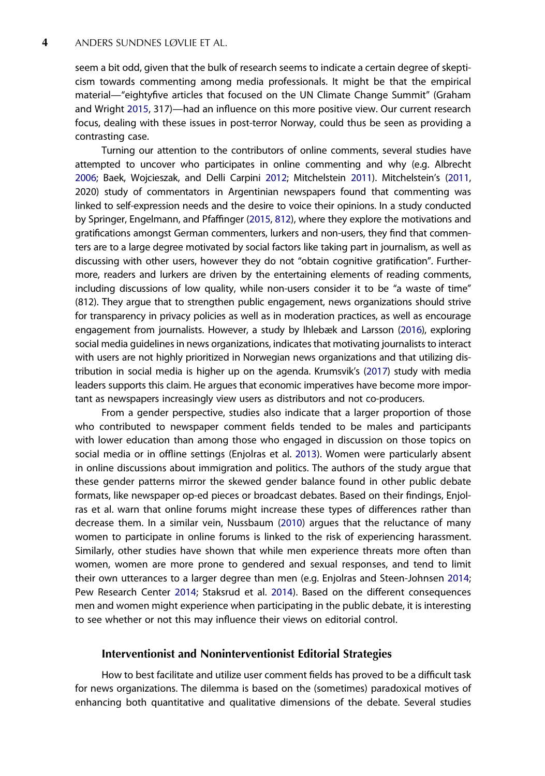<span id="page-4-0"></span>seem a bit odd, given that the bulk of research seems to indicate a certain degree of skepticism towards commenting among media professionals. It might be that the empirical material—"eightyfive articles that focused on the UN Climate Change Summit" (Graham and Wright [2015,](#page-17-0) 317)—had an influence on this more positive view. Our current research focus, dealing with these issues in post-terror Norway, could thus be seen as providing a contrasting case.

Turning our attention to the contributors of online comments, several studies have attempted to uncover who participates in online commenting and why (e.g. Albrecht [2006](#page-16-0); Baek, Wojcieszak, and Delli Carpini [2012;](#page-16-0) Mitchelstein [2011\)](#page-19-0). Mitchelstein's ([2011,](#page-19-0) 2020) study of commentators in Argentinian newspapers found that commenting was linked to self-expression needs and the desire to voice their opinions. In a study conducted by Springer, Engelmann, and Pfaffinger ([2015,](#page-19-0) [812](#page-19-0)), where they explore the motivations and gratifications amongst German commenters, lurkers and non-users, they find that commenters are to a large degree motivated by social factors like taking part in journalism, as well as discussing with other users, however they do not "obtain cognitive gratification". Furthermore, readers and lurkers are driven by the entertaining elements of reading comments, including discussions of low quality, while non-users consider it to be "a waste of time" (812). They argue that to strengthen public engagement, news organizations should strive for transparency in privacy policies as well as in moderation practices, as well as encourage engagement from journalists. However, a study by Ihlebæk and Larsson ([2016\)](#page-18-0), exploring social media guidelines in news organizations, indicates that motivating journalists to interact with users are not highly prioritized in Norwegian news organizations and that utilizing distribution in social media is higher up on the agenda. Krumsvik's ([2017\)](#page-18-0) study with media leaders supports this claim. He argues that economic imperatives have become more important as newspapers increasingly view users as distributors and not co-producers.

From a gender perspective, studies also indicate that a larger proportion of those who contributed to newspaper comment fields tended to be males and participants with lower education than among those who engaged in discussion on those topics on social media or in offline settings (Enjolras et al. [2013\)](#page-17-0). Women were particularly absent in online discussions about immigration and politics. The authors of the study argue that these gender patterns mirror the skewed gender balance found in other public debate formats, like newspaper op-ed pieces or broadcast debates. Based on their findings, Enjolras et al. warn that online forums might increase these types of differences rather than decrease them. In a similar vein, Nussbaum [\(2010\)](#page-19-0) argues that the reluctance of many women to participate in online forums is linked to the risk of experiencing harassment. Similarly, other studies have shown that while men experience threats more often than women, women are more prone to gendered and sexual responses, and tend to limit their own utterances to a larger degree than men (e.g. Enjolras and Steen-Johnsen [2014;](#page-17-0) Pew Research Center [2014;](#page-19-0) Staksrud et al. [2014](#page-19-0)). Based on the different consequences men and women might experience when participating in the public debate, it is interesting to see whether or not this may influence their views on editorial control.

#### Interventionist and Noninterventionist Editorial Strategies

How to best facilitate and utilize user comment fields has proved to be a difficult task for news organizations. The dilemma is based on the (sometimes) paradoxical motives of enhancing both quantitative and qualitative dimensions of the debate. Several studies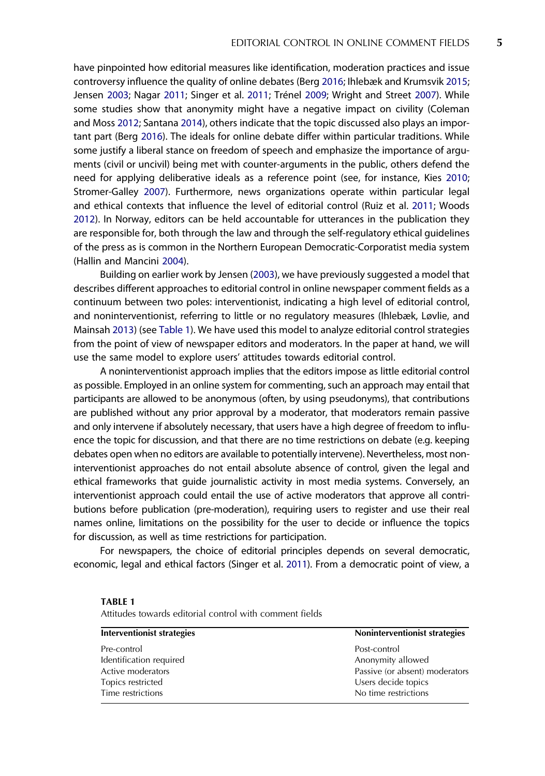<span id="page-5-0"></span>have pinpointed how editorial measures like identification, moderation practices and issue controversy influence the quality of online debates (Berg [2016;](#page-16-0) Ihlebæk and Krumsvik [2015](#page-18-0); Jensen [2003](#page-18-0); Nagar [2011;](#page-19-0) Singer et al. [2011](#page-19-0); Trénel [2009;](#page-20-0) Wright and Street [2007](#page-20-0)). While some studies show that anonymity might have a negative impact on civility (Coleman and Moss [2012;](#page-17-0) Santana [2014](#page-19-0)), others indicate that the topic discussed also plays an important part (Berg [2016](#page-16-0)). The ideals for online debate differ within particular traditions. While some justify a liberal stance on freedom of speech and emphasize the importance of arguments (civil or uncivil) being met with counter-arguments in the public, others defend the need for applying deliberative ideals as a reference point (see, for instance, Kies [2010](#page-18-0); Stromer-Galley [2007\)](#page-19-0). Furthermore, news organizations operate within particular legal and ethical contexts that influence the level of editorial control (Ruiz et al. [2011;](#page-19-0) Woods [2012](#page-20-0)). In Norway, editors can be held accountable for utterances in the publication they are responsible for, both through the law and through the self-regulatory ethical guidelines of the press as is common in the Northern European Democratic-Corporatist media system (Hallin and Mancini [2004](#page-17-0)).

Building on earlier work by Jensen [\(2003\)](#page-18-0), we have previously suggested a model that describes different approaches to editorial control in online newspaper comment fields as a continuum between two poles: interventionist, indicating a high level of editorial control, and noninterventionist, referring to little or no regulatory measures (Ihlebæk, Løvlie, and Mainsah [2013](#page-18-0)) (see Table 1). We have used this model to analyze editorial control strategies from the point of view of newspaper editors and moderators. In the paper at hand, we will use the same model to explore users' attitudes towards editorial control.

A noninterventionist approach implies that the editors impose as little editorial control as possible. Employed in an online system for commenting, such an approach may entail that participants are allowed to be anonymous (often, by using pseudonyms), that contributions are published without any prior approval by a moderator, that moderators remain passive and only intervene if absolutely necessary, that users have a high degree of freedom to influence the topic for discussion, and that there are no time restrictions on debate (e.g. keeping debates open when no editors are available to potentially intervene). Nevertheless, most noninterventionist approaches do not entail absolute absence of control, given the legal and ethical frameworks that guide journalistic activity in most media systems. Conversely, an interventionist approach could entail the use of active moderators that approve all contributions before publication (pre-moderation), requiring users to register and use their real names online, limitations on the possibility for the user to decide or influence the topics for discussion, as well as time restrictions for participation.

For newspapers, the choice of editorial principles depends on several democratic, economic, legal and ethical factors (Singer et al. [2011](#page-19-0)). From a democratic point of view, a

#### TABLE 1

Attitudes towards editorial control with comment fields

| Interventionist strategies | Noninterventionist strategies  |
|----------------------------|--------------------------------|
| Pre-control                | Post-control                   |
| Identification required    | Anonymity allowed              |
| Active moderators          | Passive (or absent) moderators |
| Topics restricted          | Users decide topics            |
| Time restrictions          | No time restrictions           |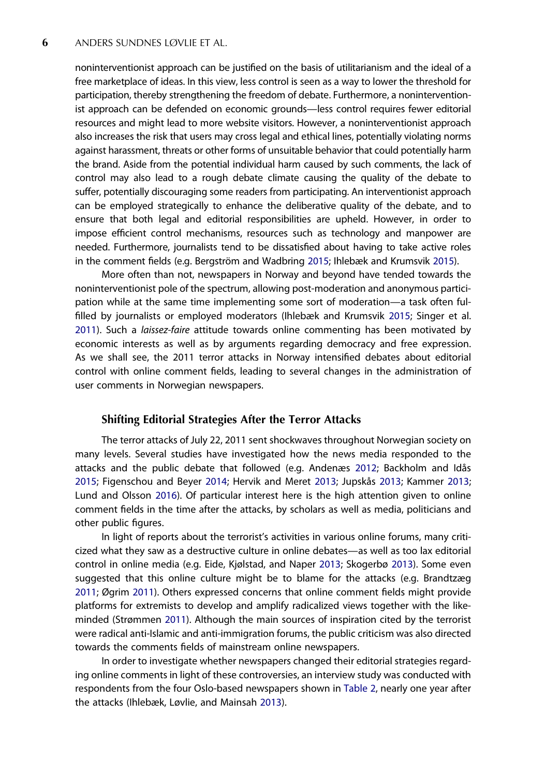<span id="page-6-0"></span>noninterventionist approach can be justified on the basis of utilitarianism and the ideal of a free marketplace of ideas. In this view, less control is seen as a way to lower the threshold for participation, thereby strengthening the freedom of debate. Furthermore, a noninterventionist approach can be defended on economic grounds—less control requires fewer editorial resources and might lead to more website visitors. However, a noninterventionist approach also increases the risk that users may cross legal and ethical lines, potentially violating norms against harassment, threats or other forms of unsuitable behavior that could potentially harm the brand. Aside from the potential individual harm caused by such comments, the lack of control may also lead to a rough debate climate causing the quality of the debate to suffer, potentially discouraging some readers from participating. An interventionist approach can be employed strategically to enhance the deliberative quality of the debate, and to ensure that both legal and editorial responsibilities are upheld. However, in order to impose efficient control mechanisms, resources such as technology and manpower are needed. Furthermore, journalists tend to be dissatisfied about having to take active roles in the comment fields (e.g. Bergström and Wadbring [2015;](#page-16-0) Ihlebæk and Krumsvik [2015](#page-18-0)).

More often than not, newspapers in Norway and beyond have tended towards the noninterventionist pole of the spectrum, allowing post-moderation and anonymous participation while at the same time implementing some sort of moderation—a task often fulfilled by journalists or employed moderators (Ihlebæk and Krumsvik [2015;](#page-18-0) Singer et al. [2011](#page-19-0)). Such a *laissez-faire* attitude towards online commenting has been motivated by economic interests as well as by arguments regarding democracy and free expression. As we shall see, the 2011 terror attacks in Norway intensified debates about editorial control with online comment fields, leading to several changes in the administration of user comments in Norwegian newspapers.

#### Shifting Editorial Strategies After the Terror Attacks

The terror attacks of July 22, 2011 sent shockwaves throughout Norwegian society on many levels. Several studies have investigated how the news media responded to the attacks and the public debate that followed (e.g. Andenæs [2012](#page-16-0); Backholm and Idås [2015](#page-16-0); Figenschou and Beyer [2014;](#page-17-0) Hervik and Meret [2013](#page-18-0); Jupskås [2013](#page-18-0); Kammer [2013;](#page-18-0) Lund and Olsson [2016](#page-18-0)). Of particular interest here is the high attention given to online comment fields in the time after the attacks, by scholars as well as media, politicians and other public figures.

In light of reports about the terrorist's activities in various online forums, many criticized what they saw as a destructive culture in online debates—as well as too lax editorial control in online media (e.g. Eide, Kjølstad, and Naper [2013;](#page-17-0) Skogerbø [2013\)](#page-19-0). Some even suggested that this online culture might be to blame for the attacks (e.g. Brandtzæg [2011](#page-17-0); Øgrim [2011\)](#page-19-0). Others expressed concerns that online comment fields might provide platforms for extremists to develop and amplify radicalized views together with the likeminded (Strømmen [2011\)](#page-20-0). Although the main sources of inspiration cited by the terrorist were radical anti-Islamic and anti-immigration forums, the public criticism was also directed towards the comments fields of mainstream online newspapers.

In order to investigate whether newspapers changed their editorial strategies regarding online comments in light of these controversies, an interview study was conducted with respondents from the four Oslo-based newspapers shown in [Table 2](#page-7-0), nearly one year after the attacks (Ihlebæk, Løvlie, and Mainsah [2013\)](#page-18-0).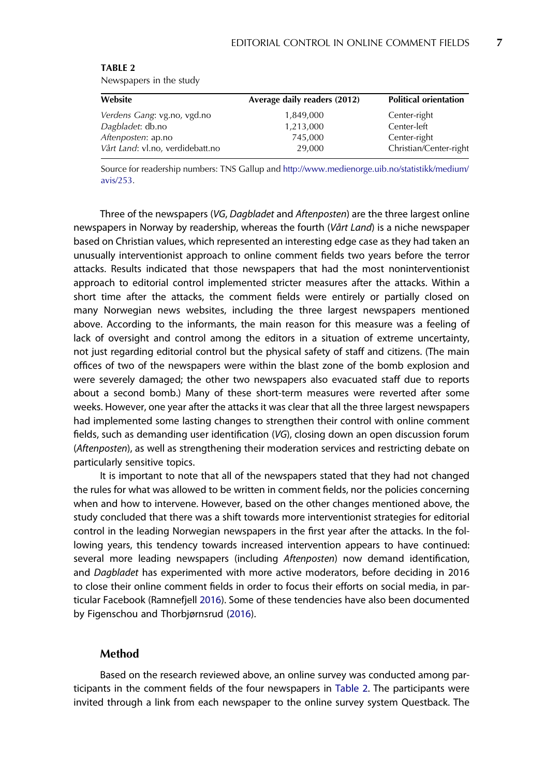| Website                            | Average daily readers (2012) | <b>Political orientation</b> |
|------------------------------------|------------------------------|------------------------------|
| <i>Verdens Gang: vg.no, vgd.no</i> | 1,849,000                    | Center-right                 |
| Dagbladet: db.no                   | 1,213,000                    | Center-left                  |
| Aftenposten: ap.no                 | 745,000                      | Center-right                 |
| Vårt Land: vl.no, verdidebatt.no   | 29,000                       | Christian/Center-right       |

## <span id="page-7-0"></span>TARIF<sub>2</sub>

Newspapers in the study

Source for readership numbers: TNS Gallup and [http://www.medienorge.uib.no/statistikk/medium/](http://www.medienorge.uib.no/statistikk/medium/avis/253) [avis/253.](http://www.medienorge.uib.no/statistikk/medium/avis/253)

Three of the newspapers (VG, Dagbladet and Aftenposten) are the three largest online newspapers in Norway by readership, whereas the fourth (Vårt Land) is a niche newspaper based on Christian values, which represented an interesting edge case as they had taken an unusually interventionist approach to online comment fields two years before the terror attacks. Results indicated that those newspapers that had the most noninterventionist approach to editorial control implemented stricter measures after the attacks. Within a short time after the attacks, the comment fields were entirely or partially closed on many Norwegian news websites, including the three largest newspapers mentioned above. According to the informants, the main reason for this measure was a feeling of lack of oversight and control among the editors in a situation of extreme uncertainty, not just regarding editorial control but the physical safety of staff and citizens. (The main offices of two of the newspapers were within the blast zone of the bomb explosion and were severely damaged; the other two newspapers also evacuated staff due to reports about a second bomb.) Many of these short-term measures were reverted after some weeks. However, one year after the attacks it was clear that all the three largest newspapers had implemented some lasting changes to strengthen their control with online comment fields, such as demanding user identification (VG), closing down an open discussion forum (Aftenposten), as well as strengthening their moderation services and restricting debate on particularly sensitive topics.

It is important to note that all of the newspapers stated that they had not changed the rules for what was allowed to be written in comment fields, nor the policies concerning when and how to intervene. However, based on the other changes mentioned above, the study concluded that there was a shift towards more interventionist strategies for editorial control in the leading Norwegian newspapers in the first year after the attacks. In the following years, this tendency towards increased intervention appears to have continued: several more leading newspapers (including Aftenposten) now demand identification, and Dagbladet has experimented with more active moderators, before deciding in 2016 to close their online comment fields in order to focus their efforts on social media, in particular Facebook (Ramnefjell [2016](#page-19-0)). Some of these tendencies have also been documented by Figenschou and Thorbjørnsrud ([2016](#page-17-0)).

#### Method

Based on the research reviewed above, an online survey was conducted among participants in the comment fields of the four newspapers in Table 2. The participants were invited through a link from each newspaper to the online survey system Questback. The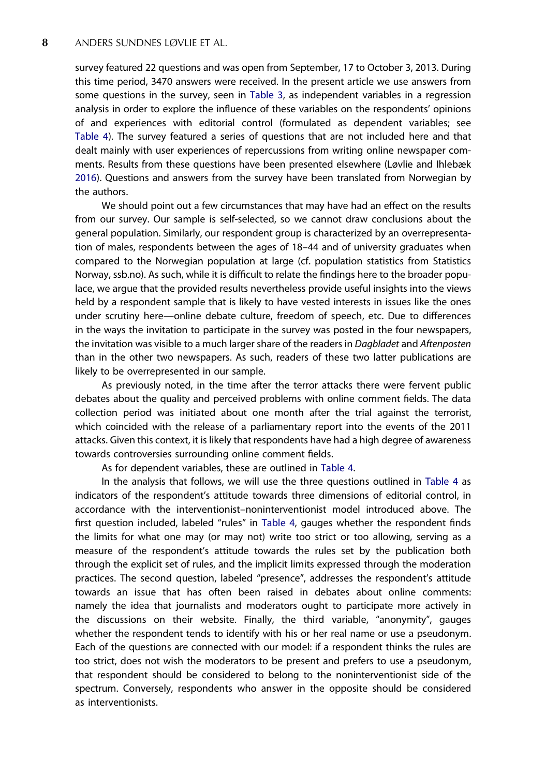<span id="page-8-0"></span>survey featured 22 questions and was open from September, 17 to October 3, 2013. During this time period, 3470 answers were received. In the present article we use answers from some questions in the survey, seen in [Table 3](#page-9-0), as independent variables in a regression analysis in order to explore the influence of these variables on the respondents' opinions of and experiences with editorial control (formulated as dependent variables; see [Table 4](#page-10-0)). The survey featured a series of questions that are not included here and that dealt mainly with user experiences of repercussions from writing online newspaper comments. Results from these questions have been presented elsewhere (Løvlie and Ihlebæk [2016](#page-18-0)). Questions and answers from the survey have been translated from Norwegian by the authors.

We should point out a few circumstances that may have had an effect on the results from our survey. Our sample is self-selected, so we cannot draw conclusions about the general population. Similarly, our respondent group is characterized by an overrepresentation of males, respondents between the ages of 18–44 and of university graduates when compared to the Norwegian population at large (cf. population statistics from Statistics Norway, ssb.no). As such, while it is difficult to relate the findings here to the broader populace, we argue that the provided results nevertheless provide useful insights into the views held by a respondent sample that is likely to have vested interests in issues like the ones under scrutiny here—online debate culture, freedom of speech, etc. Due to differences in the ways the invitation to participate in the survey was posted in the four newspapers, the invitation was visible to a much larger share of the readers in Dagbladet and Aftenposten than in the other two newspapers. As such, readers of these two latter publications are likely to be overrepresented in our sample.

As previously noted, in the time after the terror attacks there were fervent public debates about the quality and perceived problems with online comment fields. The data collection period was initiated about one month after the trial against the terrorist, which coincided with the release of a parliamentary report into the events of the 2011 attacks. Given this context, it is likely that respondents have had a high degree of awareness towards controversies surrounding online comment fields.

As for dependent variables, these are outlined in [Table 4.](#page-10-0)

In the analysis that follows, we will use the three questions outlined in [Table 4](#page-10-0) as indicators of the respondent's attitude towards three dimensions of editorial control, in accordance with the interventionist–noninterventionist model introduced above. The first question included, labeled "rules" in [Table 4,](#page-10-0) gauges whether the respondent finds the limits for what one may (or may not) write too strict or too allowing, serving as a measure of the respondent's attitude towards the rules set by the publication both through the explicit set of rules, and the implicit limits expressed through the moderation practices. The second question, labeled "presence", addresses the respondent's attitude towards an issue that has often been raised in debates about online comments: namely the idea that journalists and moderators ought to participate more actively in the discussions on their website. Finally, the third variable, "anonymity", gauges whether the respondent tends to identify with his or her real name or use a pseudonym. Each of the questions are connected with our model: if a respondent thinks the rules are too strict, does not wish the moderators to be present and prefers to use a pseudonym, that respondent should be considered to belong to the noninterventionist side of the spectrum. Conversely, respondents who answer in the opposite should be considered as interventionists.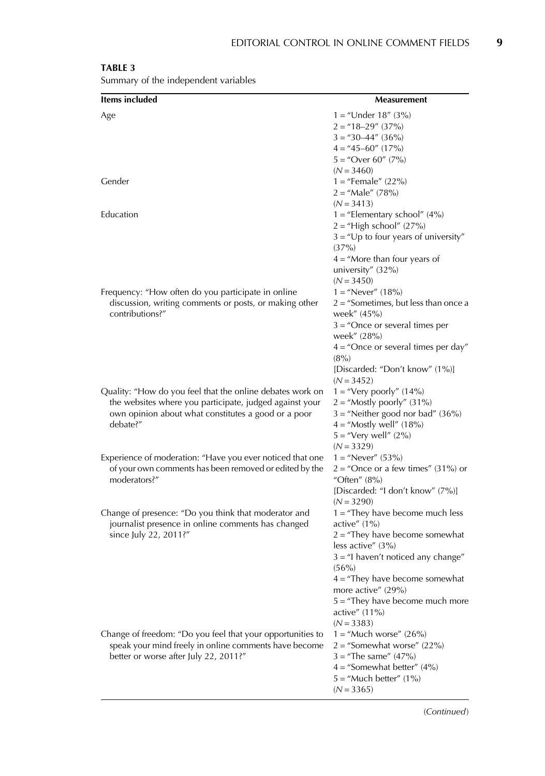| <b>Items</b> included                                                     | Measurement                                                     |
|---------------------------------------------------------------------------|-----------------------------------------------------------------|
| Age                                                                       | $1 =$ "Under 18" (3%)                                           |
|                                                                           | $2 = 18 - 29'' (37%)$                                           |
|                                                                           | $3 = 30 - 44'' (36%)$                                           |
|                                                                           | $4 = 45 - 60'' (17\%)$                                          |
|                                                                           | $5 =$ "Over 60" (7%)                                            |
|                                                                           | $(N = 3460)$                                                    |
| Gender                                                                    | $1 =$ "Female" (22%)                                            |
|                                                                           | $2 = "Male" (78%)$                                              |
|                                                                           | $(N = 3413)$                                                    |
| Education                                                                 | $1 =$ "Elementary school" (4%)                                  |
|                                                                           | $2 = "High school" (27%)$                                       |
|                                                                           | $3 =$ "Up to four years of university"<br>(37%)                 |
|                                                                           | $4 =$ "More than four years of                                  |
|                                                                           | university" (32%)                                               |
|                                                                           | $(N = 3450)$                                                    |
| Frequency: "How often do you participate in online                        | $1 =$ "Never" (18%)                                             |
| discussion, writing comments or posts, or making other<br>contributions?" | $2 =$ "Sometimes, but less than once a<br>week" (45%)           |
|                                                                           | $3 =$ "Once or several times per<br>week" (28%)                 |
|                                                                           | $4 =$ "Once or several times per day"<br>(8%)                   |
|                                                                           | [Discarded: "Don't know" (1%)]<br>$(N = 3452)$                  |
| Quality: "How do you feel that the online debates work on                 | $1 =$ "Very poorly" (14%)                                       |
| the websites where you participate, judged against your                   | $2 =$ "Mostly poorly" (31%)                                     |
| own opinion about what constitutes a good or a poor<br>debate?"           | $3 =$ "Neither good nor bad" (36%)<br>$4 = "Mostly well" (18%)$ |
|                                                                           | $5 =$ "Very well" (2%)                                          |
|                                                                           | $(N = 3329)$                                                    |
| Experience of moderation: "Have you ever noticed that one                 | $1 =$ "Never" (53%)                                             |
| of your own comments has been removed or edited by the                    | $2 =$ "Once or a few times" (31%) or                            |
| moderators?"                                                              | "Often" (8%)                                                    |
|                                                                           | [Discarded: "I don't know" (7%)]                                |
|                                                                           | $(N = 3290)$                                                    |
| Change of presence: "Do you think that moderator and                      | $1 =$ "They have become much less                               |
| journalist presence in online comments has changed                        | active" $(1\%)$                                                 |
| since July 22, 2011?"                                                     | $2 =$ "They have become somewhat                                |
|                                                                           | less active" $(3\%)$                                            |
|                                                                           | $3 = 4$ haven't noticed any change"                             |
|                                                                           | (56%)                                                           |
|                                                                           | $4 =$ "They have become somewhat<br>more active" (29%)          |
|                                                                           | $5 =$ "They have become much more                               |
|                                                                           | active" (11%)<br>$(N = 3383)$                                   |
| Change of freedom: "Do you feel that your opportunities to                | $1 =$ "Much worse" (26%)                                        |
| speak your mind freely in online comments have become                     | $2 =$ "Somewhat worse" (22%)                                    |
| better or worse after July 22, 2011?"                                     | $3 = 4$ The same" (47%)                                         |
|                                                                           | $4 =$ "Somewhat better" (4%)                                    |
|                                                                           | $5 =$ "Much better" $(1\%)$                                     |
|                                                                           | $(N = 3365)$                                                    |

#### <span id="page-9-0"></span>TABLE 3

Summary of the independent variables

(Continued)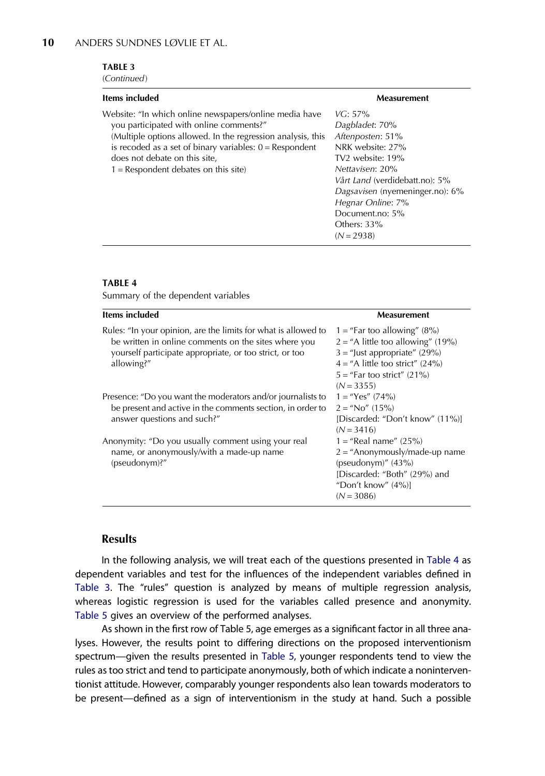#### <span id="page-10-0"></span>TABLE 3

(Continued)

| Items included                                                                                                                                                                                                                                                                                           | <b>Measurement</b>                                                                                                                                                                                                                                                     |  |
|----------------------------------------------------------------------------------------------------------------------------------------------------------------------------------------------------------------------------------------------------------------------------------------------------------|------------------------------------------------------------------------------------------------------------------------------------------------------------------------------------------------------------------------------------------------------------------------|--|
| Website: "In which online newspapers/online media have<br>you participated with online comments?"<br>(Multiple options allowed. In the regression analysis, this<br>is recoded as a set of binary variables: $0 =$ Respondent<br>does not debate on this site,<br>$1 =$ Respondent debates on this site) | $VG: 57\%$<br>Dagbladet: 70%<br>Aftenposten: 51%<br>NRK website: 27%<br>TV <sub>2</sub> website: 19%<br>Nettavisen: 20%<br>Vårt Land (verdidebatt.no): 5%<br>Dagsavisen (nyemeninger.no): 6%<br>Hegnar Online: 7%<br>Document.no: 5%<br>Others: $33\%$<br>$(N = 2938)$ |  |
|                                                                                                                                                                                                                                                                                                          |                                                                                                                                                                                                                                                                        |  |

#### TABLE 4

Summary of the dependent variables

| Items included                                                                                                                                                                                  | <b>Measurement</b>                                                                                                                                                                          |
|-------------------------------------------------------------------------------------------------------------------------------------------------------------------------------------------------|---------------------------------------------------------------------------------------------------------------------------------------------------------------------------------------------|
| Rules: "In your opinion, are the limits for what is allowed to<br>be written in online comments on the sites where you<br>yourself participate appropriate, or too strict, or too<br>allowing?" | $1 =$ "Far too allowing" (8%)<br>$2 = "A$ little too allowing" (19%)<br>$3 =$ "Just appropriate" (29%)<br>$4 = "A$ little too strict" (24%)<br>$5 =$ "Far too strict" (21%)<br>$(N = 3355)$ |
| Presence: "Do you want the moderators and/or journalists to<br>be present and active in the comments section, in order to<br>answer questions and such?"                                        | $1 =$ "Yes" (74%)<br>$2 = "No" (15%)$<br>[Discarded: "Don't know" (11%)]<br>$(N = 3416)$                                                                                                    |
| Anonymity: "Do you usually comment using your real<br>name, or anonymously/with a made-up name<br>(pseudonym)?"                                                                                 | $1 =$ "Real name" (25%)<br>$2 = "Anonymously/made-up name$<br>(pseudonym)" $(43\%)$<br>[Discarded: "Both" (29%) and<br>"Don't know" $(4\%)$<br>$(N = 3086)$                                 |

#### Results

In the following analysis, we will treat each of the questions presented in Table 4 as dependent variables and test for the influences of the independent variables defined in [Table 3.](#page-9-0) The "rules" question is analyzed by means of multiple regression analysis, whereas logistic regression is used for the variables called presence and anonymity. [Table 5](#page-11-0) gives an overview of the performed analyses.

As shown in the first row of Table 5, age emerges as a significant factor in all three analyses. However, the results point to differing directions on the proposed interventionism spectrum—given the results presented in [Table 5](#page-11-0), younger respondents tend to view the rules as too strict and tend to participate anonymously, both of which indicate a noninterventionist attitude. However, comparably younger respondents also lean towards moderators to be present—defined as a sign of interventionism in the study at hand. Such a possible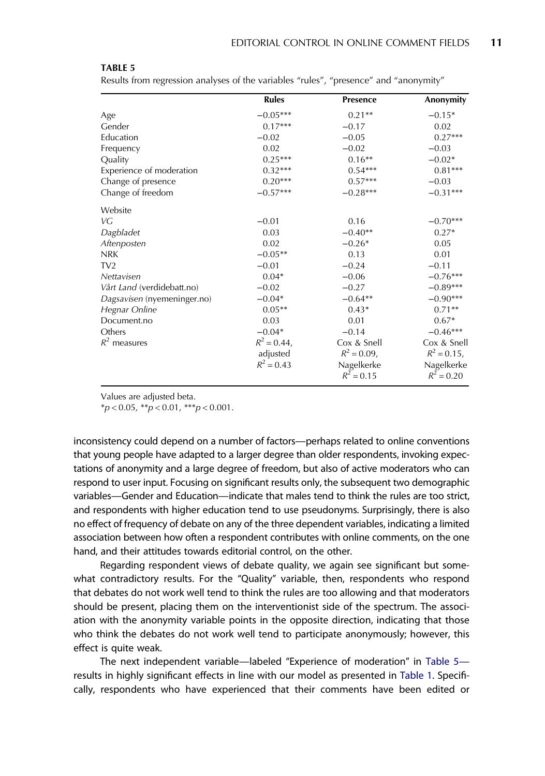|                             | <b>Rules</b>   | Presence       | Anonymity      |
|-----------------------------|----------------|----------------|----------------|
| Age                         | $-0.05***$     | $0.21**$       | $-0.15*$       |
| Gender                      | $0.17***$      | $-0.17$        | 0.02           |
| Education                   | $-0.02$        | $-0.05$        | $0.27***$      |
| Frequency                   | 0.02           | $-0.02$        | $-0.03$        |
| Quality                     | $0.25***$      | $0.16**$       | $-0.02*$       |
| Experience of moderation    | $0.32***$      | $0.54***$      | $0.81***$      |
| Change of presence          | $0.20***$      | $0.57***$      | $-0.03$        |
| Change of freedom           | $-0.57***$     | $-0.28***$     | $-0.31***$     |
| Website                     |                |                |                |
| VG                          | $-0.01$        | 0.16           | $-0.70***$     |
| Dagbladet                   | 0.03           | $-0.40**$      | $0.27*$        |
| Aftenposten                 | 0.02           | $-0.26*$       | 0.05           |
| <b>NRK</b>                  | $-0.05**$      | 0.13           | 0.01           |
| TV <sub>2</sub>             | $-0.01$        | $-0.24$        | $-0.11$        |
| Nettavisen                  | $0.04*$        | $-0.06$        | $-0.76***$     |
| Vårt Land (verdidebatt.no)  | $-0.02$        | $-0.27$        | $-0.89***$     |
| Dagsavisen (nyemeninger.no) | $-0.04*$       | $-0.64**$      | $-0.90***$     |
| Hegnar Online               | $0.05**$       | $0.43*$        | $0.71**$       |
| Document.no                 | 0.03           | 0.01           | $0.67*$        |
| Others                      | $-0.04*$       | $-0.14$        | $-0.46***$     |
| $R^2$ measures              | $R^2 = 0.44$ , | Cox & Snell    | Cox & Snell    |
|                             | adjusted       | $R^2 = 0.09$ , | $R^2 = 0.15$ , |
|                             | $R^2 = 0.43$   | Nagelkerke     | Nagelkerke     |
|                             |                | $R^2 = 0.15$   | $R^2 = 0.20$   |

#### <span id="page-11-0"></span>TABLE 5

Results from regression analyses of the variables "rules", "presence" and "anonymity"

Values are adjusted beta.

 $*_{p}$  < 0.05,  $*_{p}$  < 0.01,  $*_{p}$  < 0.001.

inconsistency could depend on a number of factors—perhaps related to online conventions that young people have adapted to a larger degree than older respondents, invoking expectations of anonymity and a large degree of freedom, but also of active moderators who can respond to user input. Focusing on significant results only, the subsequent two demographic variables—Gender and Education—indicate that males tend to think the rules are too strict, and respondents with higher education tend to use pseudonyms. Surprisingly, there is also no effect of frequency of debate on any of the three dependent variables, indicating a limited association between how often a respondent contributes with online comments, on the one hand, and their attitudes towards editorial control, on the other.

Regarding respondent views of debate quality, we again see significant but somewhat contradictory results. For the "Quality" variable, then, respondents who respond that debates do not work well tend to think the rules are too allowing and that moderators should be present, placing them on the interventionist side of the spectrum. The association with the anonymity variable points in the opposite direction, indicating that those who think the debates do not work well tend to participate anonymously; however, this effect is quite weak.

The next independent variable—labeled "Experience of moderation" in Table 5 results in highly significant effects in line with our model as presented in [Table 1](#page-5-0). Specifically, respondents who have experienced that their comments have been edited or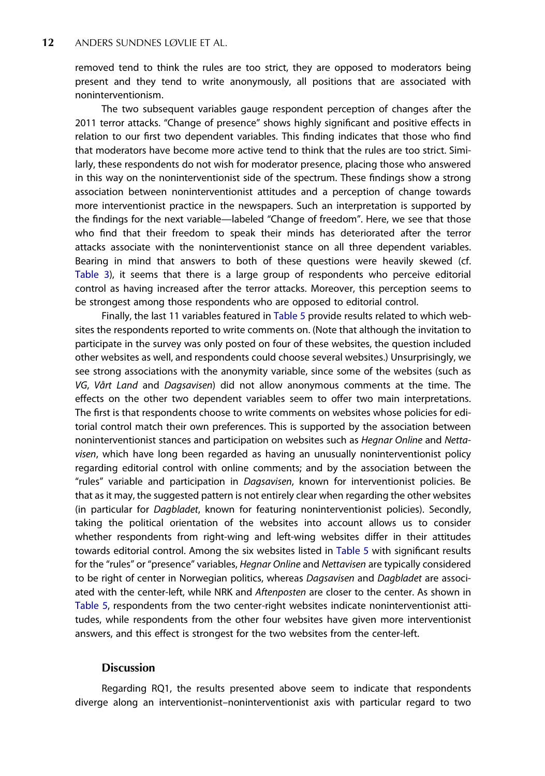removed tend to think the rules are too strict, they are opposed to moderators being present and they tend to write anonymously, all positions that are associated with noninterventionism.

The two subsequent variables gauge respondent perception of changes after the 2011 terror attacks. "Change of presence" shows highly significant and positive effects in relation to our first two dependent variables. This finding indicates that those who find that moderators have become more active tend to think that the rules are too strict. Similarly, these respondents do not wish for moderator presence, placing those who answered in this way on the noninterventionist side of the spectrum. These findings show a strong association between noninterventionist attitudes and a perception of change towards more interventionist practice in the newspapers. Such an interpretation is supported by the findings for the next variable—labeled "Change of freedom". Here, we see that those who find that their freedom to speak their minds has deteriorated after the terror attacks associate with the noninterventionist stance on all three dependent variables. Bearing in mind that answers to both of these questions were heavily skewed (cf. [Table 3](#page-9-0)), it seems that there is a large group of respondents who perceive editorial control as having increased after the terror attacks. Moreover, this perception seems to be strongest among those respondents who are opposed to editorial control.

Finally, the last 11 variables featured in [Table 5](#page-11-0) provide results related to which websites the respondents reported to write comments on. (Note that although the invitation to participate in the survey was only posted on four of these websites, the question included other websites as well, and respondents could choose several websites.) Unsurprisingly, we see strong associations with the anonymity variable, since some of the websites (such as VG, Vårt Land and Dagsavisen) did not allow anonymous comments at the time. The effects on the other two dependent variables seem to offer two main interpretations. The first is that respondents choose to write comments on websites whose policies for editorial control match their own preferences. This is supported by the association between noninterventionist stances and participation on websites such as Hegnar Online and Nettavisen, which have long been regarded as having an unusually noninterventionist policy regarding editorial control with online comments; and by the association between the "rules" variable and participation in Dagsavisen, known for interventionist policies. Be that as it may, the suggested pattern is not entirely clear when regarding the other websites (in particular for Dagbladet, known for featuring noninterventionist policies). Secondly, taking the political orientation of the websites into account allows us to consider whether respondents from right-wing and left-wing websites differ in their attitudes towards editorial control. Among the six websites listed in [Table 5](#page-11-0) with significant results for the "rules" or "presence" variables, Hegnar Online and Nettavisen are typically considered to be right of center in Norwegian politics, whereas Dagsavisen and Dagbladet are associated with the center-left, while NRK and Aftenposten are closer to the center. As shown in [Table 5,](#page-11-0) respondents from the two center-right websites indicate noninterventionist attitudes, while respondents from the other four websites have given more interventionist answers, and this effect is strongest for the two websites from the center-left.

## **Discussion**

Regarding RQ1, the results presented above seem to indicate that respondents diverge along an interventionist–noninterventionist axis with particular regard to two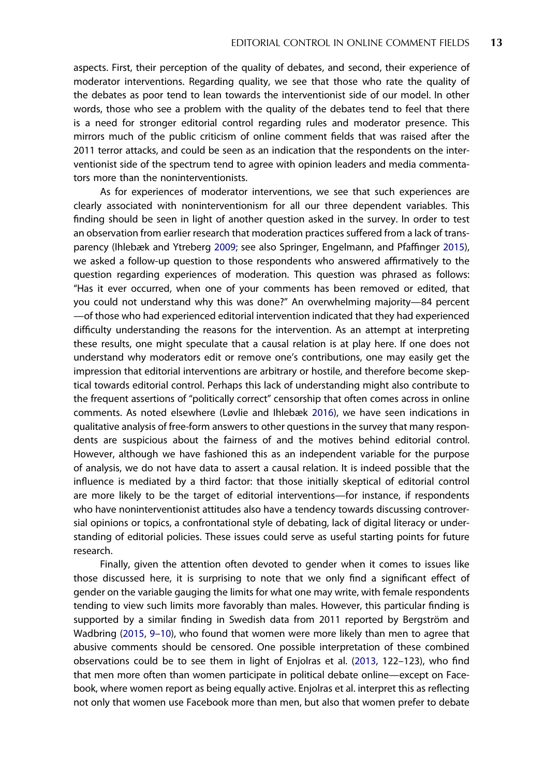aspects. First, their perception of the quality of debates, and second, their experience of moderator interventions. Regarding quality, we see that those who rate the quality of the debates as poor tend to lean towards the interventionist side of our model. In other words, those who see a problem with the quality of the debates tend to feel that there is a need for stronger editorial control regarding rules and moderator presence. This mirrors much of the public criticism of online comment fields that was raised after the 2011 terror attacks, and could be seen as an indication that the respondents on the interventionist side of the spectrum tend to agree with opinion leaders and media commentators more than the noninterventionists.

As for experiences of moderator interventions, we see that such experiences are clearly associated with noninterventionism for all our three dependent variables. This finding should be seen in light of another question asked in the survey. In order to test an observation from earlier research that moderation practices suffered from a lack of transparency (Ihlebæk and Ytreberg [2009](#page-18-0); see also Springer, Engelmann, and Pfaffinger [2015\)](#page-19-0), we asked a follow-up question to those respondents who answered affirmatively to the question regarding experiences of moderation. This question was phrased as follows: "Has it ever occurred, when one of your comments has been removed or edited, that you could not understand why this was done?" An overwhelming majority—84 percent —of those who had experienced editorial intervention indicated that they had experienced difficulty understanding the reasons for the intervention. As an attempt at interpreting these results, one might speculate that a causal relation is at play here. If one does not understand why moderators edit or remove one's contributions, one may easily get the impression that editorial interventions are arbitrary or hostile, and therefore become skeptical towards editorial control. Perhaps this lack of understanding might also contribute to the frequent assertions of "politically correct" censorship that often comes across in online comments. As noted elsewhere (Løvlie and Ihlebæk [2016](#page-18-0)), we have seen indications in qualitative analysis of free-form answers to other questions in the survey that many respondents are suspicious about the fairness of and the motives behind editorial control. However, although we have fashioned this as an independent variable for the purpose of analysis, we do not have data to assert a causal relation. It is indeed possible that the influence is mediated by a third factor: that those initially skeptical of editorial control are more likely to be the target of editorial interventions—for instance, if respondents who have noninterventionist attitudes also have a tendency towards discussing controversial opinions or topics, a confrontational style of debating, lack of digital literacy or understanding of editorial policies. These issues could serve as useful starting points for future research.

Finally, given the attention often devoted to gender when it comes to issues like those discussed here, it is surprising to note that we only find a significant effect of gender on the variable gauging the limits for what one may write, with female respondents tending to view such limits more favorably than males. However, this particular finding is supported by a similar finding in Swedish data from 2011 reported by Bergström and Wadbring [\(2015,](#page-16-0) [9](#page-16-0)–[10\)](#page-16-0), who found that women were more likely than men to agree that abusive comments should be censored. One possible interpretation of these combined observations could be to see them in light of Enjolras et al. [\(2013](#page-17-0), 122–123), who find that men more often than women participate in political debate online—except on Facebook, where women report as being equally active. Enjolras et al. interpret this as reflecting not only that women use Facebook more than men, but also that women prefer to debate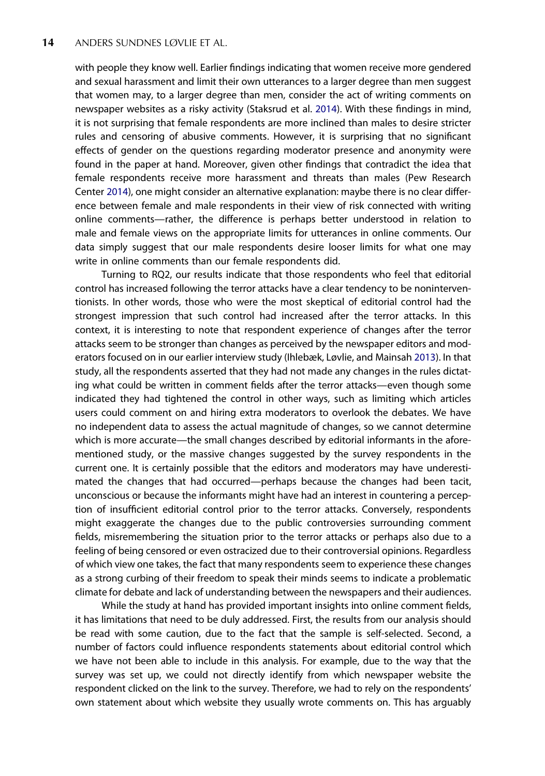with people they know well. Earlier findings indicating that women receive more gendered and sexual harassment and limit their own utterances to a larger degree than men suggest that women may, to a larger degree than men, consider the act of writing comments on newspaper websites as a risky activity (Staksrud et al. [2014](#page-19-0)). With these findings in mind, it is not surprising that female respondents are more inclined than males to desire stricter rules and censoring of abusive comments. However, it is surprising that no significant effects of gender on the questions regarding moderator presence and anonymity were found in the paper at hand. Moreover, given other findings that contradict the idea that female respondents receive more harassment and threats than males (Pew Research Center [2014\)](#page-19-0), one might consider an alternative explanation: maybe there is no clear difference between female and male respondents in their view of risk connected with writing online comments—rather, the difference is perhaps better understood in relation to male and female views on the appropriate limits for utterances in online comments. Our data simply suggest that our male respondents desire looser limits for what one may write in online comments than our female respondents did.

Turning to RQ2, our results indicate that those respondents who feel that editorial control has increased following the terror attacks have a clear tendency to be noninterventionists. In other words, those who were the most skeptical of editorial control had the strongest impression that such control had increased after the terror attacks. In this context, it is interesting to note that respondent experience of changes after the terror attacks seem to be stronger than changes as perceived by the newspaper editors and moderators focused on in our earlier interview study (Ihlebæk, Løvlie, and Mainsah [2013\)](#page-18-0). In that study, all the respondents asserted that they had not made any changes in the rules dictating what could be written in comment fields after the terror attacks—even though some indicated they had tightened the control in other ways, such as limiting which articles users could comment on and hiring extra moderators to overlook the debates. We have no independent data to assess the actual magnitude of changes, so we cannot determine which is more accurate—the small changes described by editorial informants in the aforementioned study, or the massive changes suggested by the survey respondents in the current one. It is certainly possible that the editors and moderators may have underestimated the changes that had occurred—perhaps because the changes had been tacit, unconscious or because the informants might have had an interest in countering a perception of insufficient editorial control prior to the terror attacks. Conversely, respondents might exaggerate the changes due to the public controversies surrounding comment fields, misremembering the situation prior to the terror attacks or perhaps also due to a feeling of being censored or even ostracized due to their controversial opinions. Regardless of which view one takes, the fact that many respondents seem to experience these changes as a strong curbing of their freedom to speak their minds seems to indicate a problematic climate for debate and lack of understanding between the newspapers and their audiences.

While the study at hand has provided important insights into online comment fields, it has limitations that need to be duly addressed. First, the results from our analysis should be read with some caution, due to the fact that the sample is self-selected. Second, a number of factors could influence respondents statements about editorial control which we have not been able to include in this analysis. For example, due to the way that the survey was set up, we could not directly identify from which newspaper website the respondent clicked on the link to the survey. Therefore, we had to rely on the respondents' own statement about which website they usually wrote comments on. This has arguably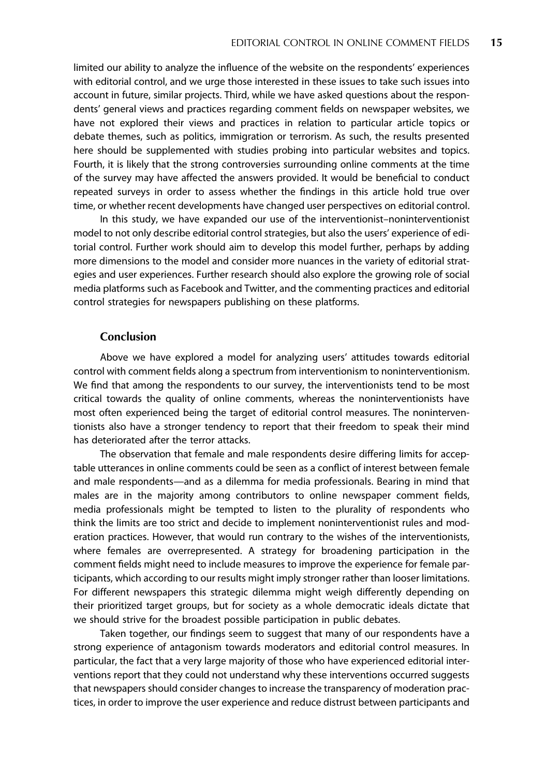limited our ability to analyze the influence of the website on the respondents' experiences with editorial control, and we urge those interested in these issues to take such issues into account in future, similar projects. Third, while we have asked questions about the respondents' general views and practices regarding comment fields on newspaper websites, we have not explored their views and practices in relation to particular article topics or debate themes, such as politics, immigration or terrorism. As such, the results presented here should be supplemented with studies probing into particular websites and topics. Fourth, it is likely that the strong controversies surrounding online comments at the time of the survey may have affected the answers provided. It would be beneficial to conduct repeated surveys in order to assess whether the findings in this article hold true over time, or whether recent developments have changed user perspectives on editorial control.

In this study, we have expanded our use of the interventionist–noninterventionist model to not only describe editorial control strategies, but also the users' experience of editorial control. Further work should aim to develop this model further, perhaps by adding more dimensions to the model and consider more nuances in the variety of editorial strategies and user experiences. Further research should also explore the growing role of social media platforms such as Facebook and Twitter, and the commenting practices and editorial control strategies for newspapers publishing on these platforms.

## Conclusion

Above we have explored a model for analyzing users' attitudes towards editorial control with comment fields along a spectrum from interventionism to noninterventionism. We find that among the respondents to our survey, the interventionists tend to be most critical towards the quality of online comments, whereas the noninterventionists have most often experienced being the target of editorial control measures. The noninterventionists also have a stronger tendency to report that their freedom to speak their mind has deteriorated after the terror attacks.

The observation that female and male respondents desire differing limits for acceptable utterances in online comments could be seen as a conflict of interest between female and male respondents—and as a dilemma for media professionals. Bearing in mind that males are in the majority among contributors to online newspaper comment fields, media professionals might be tempted to listen to the plurality of respondents who think the limits are too strict and decide to implement noninterventionist rules and moderation practices. However, that would run contrary to the wishes of the interventionists, where females are overrepresented. A strategy for broadening participation in the comment fields might need to include measures to improve the experience for female participants, which according to our results might imply stronger rather than looser limitations. For different newspapers this strategic dilemma might weigh differently depending on their prioritized target groups, but for society as a whole democratic ideals dictate that we should strive for the broadest possible participation in public debates.

Taken together, our findings seem to suggest that many of our respondents have a strong experience of antagonism towards moderators and editorial control measures. In particular, the fact that a very large majority of those who have experienced editorial interventions report that they could not understand why these interventions occurred suggests that newspapers should consider changes to increase the transparency of moderation practices, in order to improve the user experience and reduce distrust between participants and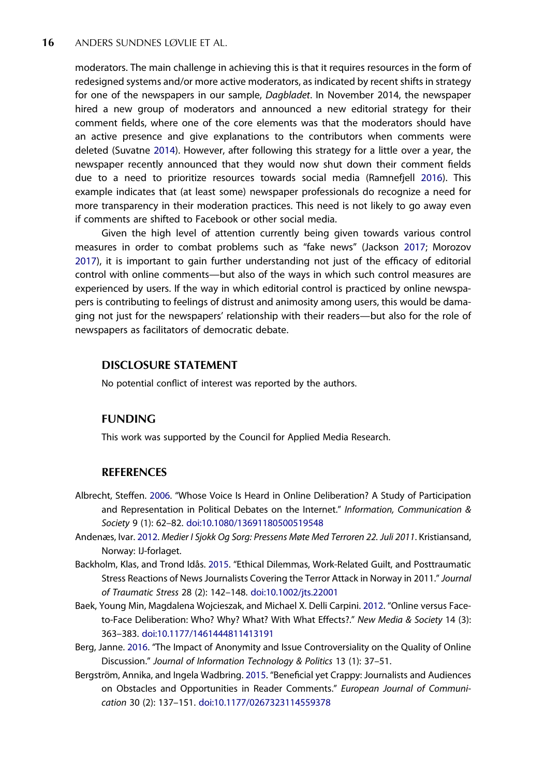<span id="page-16-0"></span>moderators. The main challenge in achieving this is that it requires resources in the form of redesigned systems and/or more active moderators, as indicated by recent shifts in strategy for one of the newspapers in our sample, Dagbladet. In November 2014, the newspaper hired a new group of moderators and announced a new editorial strategy for their comment fields, where one of the core elements was that the moderators should have an active presence and give explanations to the contributors when comments were deleted (Suvatne [2014\)](#page-20-0). However, after following this strategy for a little over a year, the newspaper recently announced that they would now shut down their comment fields due to a need to prioritize resources towards social media (Ramnefjell [2016\)](#page-19-0). This example indicates that (at least some) newspaper professionals do recognize a need for more transparency in their moderation practices. This need is not likely to go away even if comments are shifted to Facebook or other social media.

Given the high level of attention currently being given towards various control measures in order to combat problems such as "fake news" (Jackson [2017](#page-18-0); Morozov [2017](#page-19-0)), it is important to gain further understanding not just of the efficacy of editorial control with online comments—but also of the ways in which such control measures are experienced by users. If the way in which editorial control is practiced by online newspapers is contributing to feelings of distrust and animosity among users, this would be damaging not just for the newspapers' relationship with their readers—but also for the role of newspapers as facilitators of democratic debate.

### DISCLOSURE STATEMENT

No potential conflict of interest was reported by the authors.

## FUNDING

This work was supported by the Council for Applied Media Research.

## **REFERENCES**

- Albrecht, Steffen. [2006.](#page-4-0) "Whose Voice Is Heard in Online Deliberation? A Study of Participation and Representation in Political Debates on the Internet." Information, Communication & Society 9 (1): 62–82. [doi:10.1080/13691180500519548](http://dx.doi.org/10.1080/13691180500519548)
- Andenæs, Ivar. [2012.](#page-6-0) Medier I Sjokk Og Sorg: Pressens Møte Med Terroren 22. Juli 2011. Kristiansand, Norway: IJ-forlaget.
- Backholm, Klas, and Trond Idås. [2015](#page-6-0). "Ethical Dilemmas, Work-Related Guilt, and Posttraumatic Stress Reactions of News Journalists Covering the Terror Attack in Norway in 2011." Journal of Traumatic Stress 28 (2): 142–148. [doi:10.1002/jts.22001](http://dx.doi.org/10.1002/jts.22001)
- Baek, Young Min, Magdalena Wojcieszak, and Michael X. Delli Carpini. [2012](#page-4-0). "Online versus Faceto-Face Deliberation: Who? Why? What? With What Effects?." New Media & Society 14 (3): 363–383. [doi:10.1177/1461444811413191](http://dx.doi.org/10.1177/1461444811413191)
- Berg, Janne. [2016.](#page-5-0) "The Impact of Anonymity and Issue Controversiality on the Quality of Online Discussion." Journal of Information Technology & Politics 13 (1): 37–51.
- Bergström, Annika, and Ingela Wadbring. [2015.](#page-3-0) "Beneficial yet Crappy: Journalists and Audiences on Obstacles and Opportunities in Reader Comments." European Journal of Communication 30 (2): 137–151. [doi:10.1177/0267323114559378](http://dx.doi.org/10.1177/0267323114559378)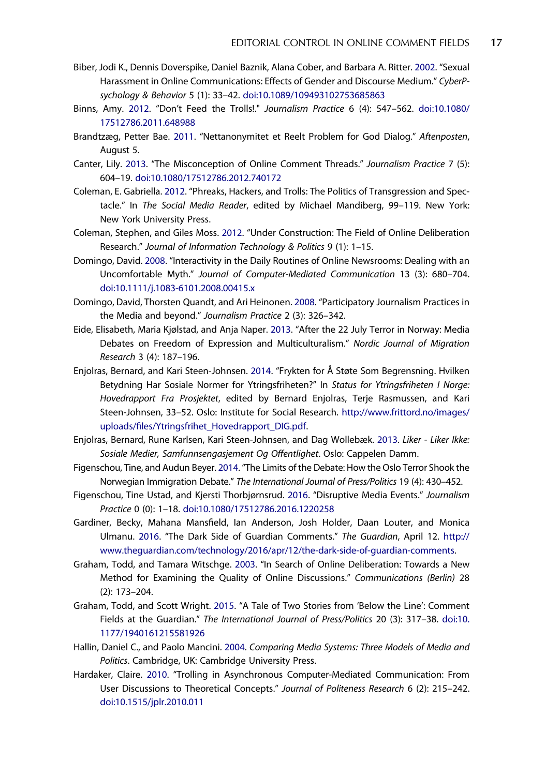- <span id="page-17-0"></span>Biber, Jodi K., Dennis Doverspike, Daniel Baznik, Alana Cober, and Barbara A. Ritter. [2002.](#page-3-0) "Sexual Harassment in Online Communications: Effects of Gender and Discourse Medium." CyberPsychology & Behavior 5 (1): 33–42. [doi:10.1089/109493102753685863](http://dx.doi.org/10.1089/109493102753685863)
- Binns, Amy. [2012.](#page-3-0) "Don't Feed the Trolls!." Journalism Practice 6 (4): 547–562. [doi:10.1080/](http://dx.doi.org/10.1080/17512786.2011.648988) [17512786.2011.648988](http://dx.doi.org/10.1080/17512786.2011.648988)
- Brandtzæg, Petter Bae. [2011.](#page-6-0) "Nettanonymitet et Reelt Problem for God Dialog." Aftenposten, August 5.
- Canter, Lily. [2013](#page-3-0). "The Misconception of Online Comment Threads." Journalism Practice 7 (5): 604–19. [doi:10.1080/17512786.2012.740172](http://dx.doi.org/10.1080/17512786.2012.740172)
- Coleman, E. Gabriella. [2012](#page-3-0). "Phreaks, Hackers, and Trolls: The Politics of Transgression and Spectacle." In The Social Media Reader, edited by Michael Mandiberg, 99–119. New York: New York University Press.
- Coleman, Stephen, and Giles Moss. [2012](#page-5-0). "Under Construction: The Field of Online Deliberation Research." Journal of Information Technology & Politics 9 (1): 1–15.
- Domingo, David. [2008.](#page-3-0) "Interactivity in the Daily Routines of Online Newsrooms: Dealing with an Uncomfortable Myth." Journal of Computer-Mediated Communication 13 (3): 680–704. [doi:10.1111/j.1083-6101.2008.00415.x](http://dx.doi.org/10.1111/j.1083-6101.2008.00415.x)
- Domingo, David, Thorsten Quandt, and Ari Heinonen. [2008.](#page-3-0) "Participatory Journalism Practices in the Media and beyond." Journalism Practice 2 (3): 326–342.
- Eide, Elisabeth, Maria Kjølstad, and Anja Naper. [2013](#page-6-0). "After the 22 July Terror in Norway: Media Debates on Freedom of Expression and Multiculturalism." Nordic Journal of Migration Research 3 (4): 187–196.
- Enjolras, Bernard, and Kari Steen-Johnsen. [2014](#page-4-0). "Frykten for Å Støte Som Begrensning. Hvilken Betydning Har Sosiale Normer for Ytringsfriheten?" In Status for Ytringsfriheten I Norge: Hovedrapport Fra Prosjektet, edited by Bernard Enjolras, Terje Rasmussen, and Kari Steen-Johnsen, 33–52. Oslo: Institute for Social Research. [http://www.frittord.no/images/](http://www.frittord.no/images/uploads/files/Ytringsfrihet_Hovedrapport_DIG.pdf) uploads/fi[les/Ytringsfrihet\\_Hovedrapport\\_DIG.pdf](http://www.frittord.no/images/uploads/files/Ytringsfrihet_Hovedrapport_DIG.pdf).
- Enjolras, Bernard, Rune Karlsen, Kari Steen-Johnsen, and Dag Wollebæk. [2013.](#page-4-0) Liker Liker Ikke: Sosiale Medier, Samfunnsengasjement Og Offentlighet. Oslo: Cappelen Damm.
- Figenschou, Tine, and Audun Beyer. [2014.](#page-6-0) "The Limits of the Debate: How the Oslo Terror Shook the Norwegian Immigration Debate." The International Journal of Press/Politics 19 (4): 430–452.
- Figenschou, Tine Ustad, and Kjersti Thorbjørnsrud. [2016.](#page-2-0) "Disruptive Media Events." Journalism Practice 0 (0): 1–18. [doi:10.1080/17512786.2016.1220258](http://dx.doi.org/10.1080/17512786.2016.1220258)
- Gardiner, Becky, Mahana Mansfield, Ian Anderson, Josh Holder, Daan Louter, and Monica Ulmanu. [2016.](#page-2-0) "The Dark Side of Guardian Comments." The Guardian, April 12. [http://](http://www.theguardian.com/technology/2016/apr/12/the-dark-side-of-guardian-comments) [www.theguardian.com/technology/2016/apr/12/the-dark-side-of-guardian-comments.](http://www.theguardian.com/technology/2016/apr/12/the-dark-side-of-guardian-comments)
- Graham, Todd, and Tamara Witschge. [2003](#page-3-0). "In Search of Online Deliberation: Towards a New Method for Examining the Quality of Online Discussions." Communications (Berlin) 28 (2): 173–204.
- Graham, Todd, and Scott Wright. [2015](#page-3-0). "A Tale of Two Stories from 'Below the Line': Comment Fields at the Guardian." The International Journal of Press/Politics 20 (3): 317-38. [doi:10.](http://dx.doi.org/10.1177/1940161215581926) [1177/1940161215581926](http://dx.doi.org/10.1177/1940161215581926)
- Hallin, Daniel C., and Paolo Mancini. [2004.](#page-5-0) Comparing Media Systems: Three Models of Media and Politics. Cambridge, UK: Cambridge University Press.
- Hardaker, Claire. [2010](#page-3-0). "Trolling in Asynchronous Computer-Mediated Communication: From User Discussions to Theoretical Concepts." Journal of Politeness Research 6 (2): 215–242. [doi:10.1515/jplr.2010.011](http://dx.doi.org/10.1515/jplr.2010.011)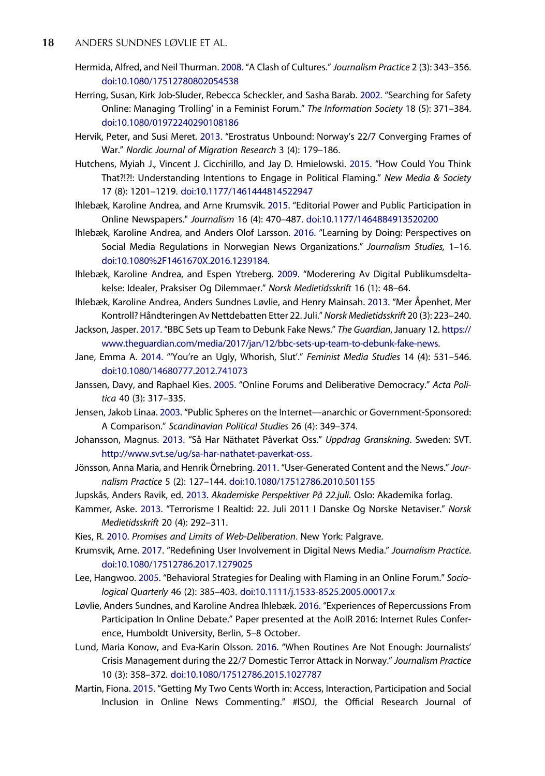- <span id="page-18-0"></span>Hermida, Alfred, and Neil Thurman. [2008.](#page-3-0) "A Clash of Cultures." Journalism Practice 2 (3): 343–356. [doi:10.1080/17512780802054538](http://dx.doi.org/10.1080/17512780802054538)
- Herring, Susan, Kirk Job-Sluder, Rebecca Scheckler, and Sasha Barab. [2002](#page-3-0). "Searching for Safety Online: Managing 'Trolling' in a Feminist Forum." The Information Society 18 (5): 371–384. [doi:10.1080/01972240290108186](http://dx.doi.org/10.1080/01972240290108186)
- Hervik, Peter, and Susi Meret. [2013.](#page-6-0) "Erostratus Unbound: Norway's 22/7 Converging Frames of War." Nordic Journal of Migration Research 3 (4): 179–186.
- Hutchens, Myiah J., Vincent J. Cicchirillo, and Jay D. Hmielowski. [2015.](#page-3-0) "How Could You Think That?!?!: Understanding Intentions to Engage in Political Flaming." New Media & Society 17 (8): 1201–1219. [doi:10.1177/1461444814522947](http://dx.doi.org/10.1177/1461444814522947)
- Ihlebæk, Karoline Andrea, and Arne Krumsvik. [2015.](#page-1-0) "Editorial Power and Public Participation in Online Newspapers." Journalism 16 (4): 470–487. [doi:10.1177/1464884913520200](http://dx.doi.org/10.1177/1464884913520200)
- Ihlebæk, Karoline Andrea, and Anders Olof Larsson. [2016](#page-4-0). "Learning by Doing: Perspectives on Social Media Regulations in Norwegian News Organizations." Journalism Studies, 1–16. [doi:10.1080%2F1461670X.2016.1239184](http://dx.doi.org/10.1080%2F1461670X.2016.1239184).
- Ihlebæk, Karoline Andrea, and Espen Ytreberg. [2009](#page-1-0). "Moderering Av Digital Publikumsdeltakelse: Idealer, Praksiser Og Dilemmaer." Norsk Medietidsskrift 16 (1): 48–64.
- Ihlebæk, Karoline Andrea, Anders Sundnes Løvlie, and Henry Mainsah. [2013](#page-2-0). "Mer Åpenhet, Mer Kontroll? Håndteringen Av Nettdebatten Etter 22. Juli." Norsk Medietidsskrift 20 (3): 223–240.
- Jackson, Jasper. [2017.](#page-2-0) "BBC Sets up Team to Debunk Fake News." The Guardian, January 12. [https://](http://www.theguardian.com/media/2017/jan/12/bbc-sets-up-team-to-debunk-fake-news) [www.theguardian.com/media/2017/jan/12/bbc-sets-up-team-to-debunk-fake-news.](http://www.theguardian.com/media/2017/jan/12/bbc-sets-up-team-to-debunk-fake-news)
- Jane, Emma A. [2014.](#page-3-0) "'You're an Ugly, Whorish, Slut'." Feminist Media Studies 14 (4): 531-546. [doi:10.1080/14680777.2012.741073](http://dx.doi.org/10.1080/14680777.2012.741073)
- Janssen, Davy, and Raphael Kies. [2005](#page-3-0). "Online Forums and Deliberative Democracy." Acta Politica 40 (3): 317–335.
- Jensen, Jakob Linaa. [2003](#page-5-0). "Public Spheres on the Internet—anarchic or Government-Sponsored: A Comparison." Scandinavian Political Studies 26 (4): 349–374.
- Johansson, Magnus. [2013.](#page-2-0) "Så Har Näthatet Påverkat Oss." Uppdrag Granskning. Sweden: SVT. [http://www.svt.se/ug/sa-har-nathatet-paverkat-oss.](http://www.svt.se/ug/sa-har-nathatet-paverkat-oss)
- Jönsson, Anna Maria, and Henrik Örnebring. [2011.](#page-3-0) "User-Generated Content and the News." Journalism Practice 5 (2): 127–144. [doi:10.1080/17512786.2010.501155](http://dx.doi.org/10.1080/17512786.2010.501155)
- Jupskås, Anders Ravik, ed. [2013](#page-6-0). Akademiske Perspektiver På 22.juli. Oslo: Akademika forlag.
- Kammer, Aske. [2013.](#page-6-0) "Terrorisme I Realtid: 22. Juli 2011 I Danske Og Norske Netaviser." Norsk Medietidsskrift 20 (4): 292–311.
- Kies, R. [2010](#page-5-0). Promises and Limits of Web-Deliberation. New York: Palgrave.
- Krumsvik, Arne. [2017.](#page-4-0) "Redefining User Involvement in Digital News Media." Journalism Practice. [doi:10.1080/17512786.2017.1279025](http://dx.doi.org/10.1080/17512786.2017.1279025)
- Lee, Hangwoo. [2005.](#page-3-0) "Behavioral Strategies for Dealing with Flaming in an Online Forum." Sociological Quarterly 46 (2): 385–403. [doi:10.1111/j.1533-8525.2005.00017.x](http://dx.doi.org/10.1111/j.1533-8525.2005.00017.x)
- Løvlie, Anders Sundnes, and Karoline Andrea Ihlebæk. [2016.](#page-8-0) "Experiences of Repercussions From Participation In Online Debate." Paper presented at the AoIR 2016: Internet Rules Conference, Humboldt University, Berlin, 5–8 October.
- Lund, Maria Konow, and Eva-Karin Olsson. [2016](#page-6-0). "When Routines Are Not Enough: Journalists' Crisis Management during the 22/7 Domestic Terror Attack in Norway." Journalism Practice 10 (3): 358–372. [doi:10.1080/17512786.2015.1027787](http://dx.doi.org/10.1080/17512786.2015.1027787)
- Martin, Fiona. [2015.](#page-3-0) "Getting My Two Cents Worth in: Access, Interaction, Participation and Social Inclusion in Online News Commenting." #ISOJ, the Official Research Journal of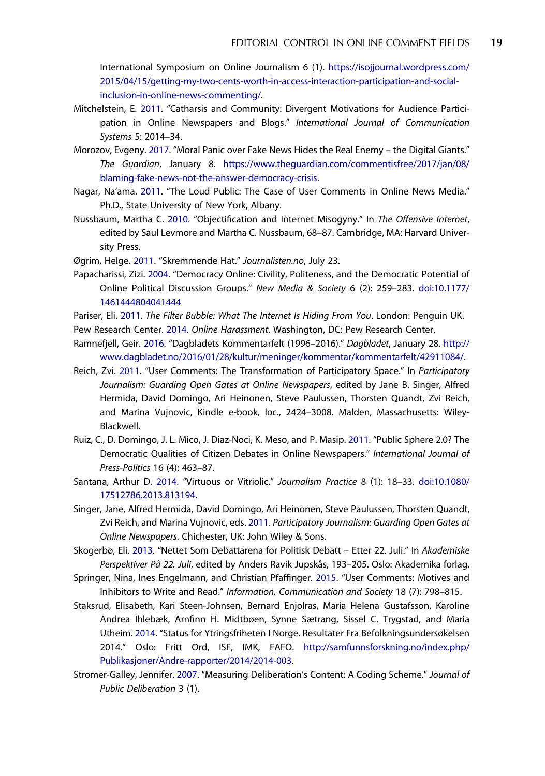<span id="page-19-0"></span>International Symposium on Online Journalism 6 (1). [https://isojjournal.wordpress.com/](http://isojjournal.wordpress.com/2015/04/15/getting-my-two-cents-worth-in-access-interaction-participation-and-social-inclusion-in-online-news-commenting/) [2015/04/15/getting-my-two-cents-worth-in-access-interaction-participation-and-social](http://isojjournal.wordpress.com/2015/04/15/getting-my-two-cents-worth-in-access-interaction-participation-and-social-inclusion-in-online-news-commenting/)[inclusion-in-online-news-commenting/](http://isojjournal.wordpress.com/2015/04/15/getting-my-two-cents-worth-in-access-interaction-participation-and-social-inclusion-in-online-news-commenting/).

- Mitchelstein, E. [2011.](#page-4-0) "Catharsis and Community: Divergent Motivations for Audience Participation in Online Newspapers and Blogs." International Journal of Communication Systems 5: 2014–34.
- Morozov, Evgeny. [2017.](#page-2-0) "Moral Panic over Fake News Hides the Real Enemy the Digital Giants." The Guardian, January 8. [https://www.theguardian.com/commentisfree/2017/jan/08/](http://www.theguardian.com/commentisfree/2017/jan/08/blaming-fake-news-not-the-answer-democracy-crisis) [blaming-fake-news-not-the-answer-democracy-crisis](http://www.theguardian.com/commentisfree/2017/jan/08/blaming-fake-news-not-the-answer-democracy-crisis).
- Nagar, Na'ama. [2011.](#page-5-0) "The Loud Public: The Case of User Comments in Online News Media." Ph.D., State University of New York, Albany.
- Nussbaum, Martha C. [2010](#page-4-0). "Objectification and Internet Misogyny." In The Offensive Internet, edited by Saul Levmore and Martha C. Nussbaum, 68–87. Cambridge, MA: Harvard University Press.
- Øgrim, Helge. [2011](#page-6-0). "Skremmende Hat." Journalisten.no, July 23.
- Papacharissi, Zizi. [2004](#page-3-0). "Democracy Online: Civility, Politeness, and the Democratic Potential of Online Political Discussion Groups." New Media & Society 6 (2): 259–283. [doi:10.1177/](http://dx.doi.org/10.1177/1461444804041444) [1461444804041444](http://dx.doi.org/10.1177/1461444804041444)
- Pariser, Eli. [2011](#page-2-0). The Filter Bubble: What The Internet Is Hiding From You. London: Penguin UK.
- Pew Research Center. [2014](#page-4-0). Online Harassment. Washington, DC: Pew Research Center.
- Ramnefjell, Geir. [2016](#page-7-0). "Dagbladets Kommentarfelt (1996–2016)." Dagbladet, January 28. [http://](http://www.dagbladet.no/2016/01/28/kultur/meninger/kommentar/kommentarfelt/42911084/) [www.dagbladet.no/2016/01/28/kultur/meninger/kommentar/kommentarfelt/42911084/.](http://www.dagbladet.no/2016/01/28/kultur/meninger/kommentar/kommentarfelt/42911084/)
- Reich, Zvi. [2011](#page-3-0). "User Comments: The Transformation of Participatory Space." In Participatory Journalism: Guarding Open Gates at Online Newspapers, edited by Jane B. Singer, Alfred Hermida, David Domingo, Ari Heinonen, Steve Paulussen, Thorsten Quandt, Zvi Reich, and Marina Vujnovic, Kindle e-book, loc., 2424–3008. Malden, Massachusetts: Wiley-Blackwell.
- Ruiz, C., D. Domingo, J. L. Mico, J. Diaz-Noci, K. Meso, and P. Masip. [2011.](#page-3-0) "Public Sphere 2.0? The Democratic Qualities of Citizen Debates in Online Newspapers." International Journal of Press-Politics 16 (4): 463–87.
- Santana, Arthur D. [2014](#page-3-0). "Virtuous or Vitriolic." Journalism Practice 8 (1): 18–33. [doi:10.1080/](http://dx.doi.org/10.1080/17512786.2013.813194) [17512786.2013.813194.](http://dx.doi.org/10.1080/17512786.2013.813194)
- Singer, Jane, Alfred Hermida, David Domingo, Ari Heinonen, Steve Paulussen, Thorsten Quandt, Zvi Reich, and Marina Vujnovic, eds. [2011](#page-1-0). Participatory Journalism: Guarding Open Gates at Online Newspapers. Chichester, UK: John Wiley & Sons.
- Skogerbø, Eli. [2013](#page-6-0). "Nettet Som Debattarena for Politisk Debatt Etter 22. Juli." In Akademiske Perspektiver På 22. Juli, edited by Anders Ravik Jupskås, 193–205. Oslo: Akademika forlag.
- Springer, Nina, Ines Engelmann, and Christian Pfaffinger. [2015](#page-1-0). "User Comments: Motives and Inhibitors to Write and Read." Information, Communication and Society 18 (7): 798–815.
- Staksrud, Elisabeth, Kari Steen-Johnsen, Bernard Enjolras, Maria Helena Gustafsson, Karoline Andrea Ihlebæk, Arnfinn H. Midtbøen, Synne Sætrang, Sissel C. Trygstad, and Maria Utheim. [2014.](#page-4-0) "Status for Ytringsfriheten I Norge. Resultater Fra Befolkningsundersøkelsen 2014." Oslo: Fritt Ord, ISF, IMK, FAFO. [http://samfunnsforskning.no/index.php/](http://samfunnsforskning.no/index.php/Publikasjoner/Andre-rapporter/2014/2014-003) [Publikasjoner/Andre-rapporter/2014/2014-003](http://samfunnsforskning.no/index.php/Publikasjoner/Andre-rapporter/2014/2014-003).
- Stromer-Galley, Jennifer. [2007](#page-5-0). "Measuring Deliberation's Content: A Coding Scheme." Journal of Public Deliberation 3 (1).